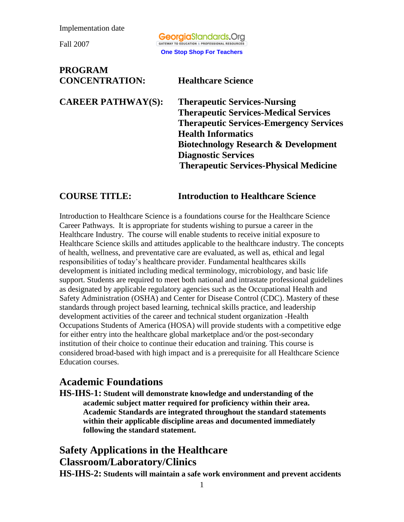Fall 2007

**Georgia**Standards.Ora GATEWAY TO EDUCATION & PROFESSIONAL RESOURCES **One Stop Shop For Teachers**

**PROGRAM CONCENTRATION: Healthcare Science CAREER PATHWAY(S): Therapeutic Services-Nursing Therapeutic Services-Medical Services Therapeutic Services-Emergency Services Health Informatics Biotechnology Research & Development Diagnostic Services Therapeutic Services-Physical Medicine**

#### **COURSE TITLE: Introduction to Healthcare Science**

Introduction to Healthcare Science is a foundations course for the Healthcare Science Career Pathways. It is appropriate for students wishing to pursue a career in the Healthcare Industry. The course will enable students to receive initial exposure to Healthcare Science skills and attitudes applicable to the healthcare industry. The concepts of health, wellness, and preventative care are evaluated, as well as, ethical and legal responsibilities of today's healthcare provider. Fundamental healthcares skills development is initiated including medical terminology, microbiology, and basic life support. Students are required to meet both national and intrastate professional guidelines as designated by applicable regulatory agencies such as the Occupational Health and Safety Administration (OSHA) and Center for Disease Control (CDC). Mastery of these standards through project based learning, technical skills practice, and leadership development activities of the career and technical student organization -Health Occupations Students of America (HOSA) will provide students with a competitive edge for either entry into the healthcare global marketplace and/or the post-secondary institution of their choice to continue their education and training. This course is considered broad-based with high impact and is a prerequisite for all Healthcare Science Education courses.

### **Academic Foundations**

**HS-IHS-1: Student will demonstrate knowledge and understanding of the academic subject matter required for proficiency within their area. Academic Standards are integrated throughout the standard statements within their applicable discipline areas and documented immediately following the standard statement.**

### **Safety Applications in the Healthcare Classroom/Laboratory/Clinics**

**HS-IHS-2: Students will maintain a safe work environment and prevent accidents**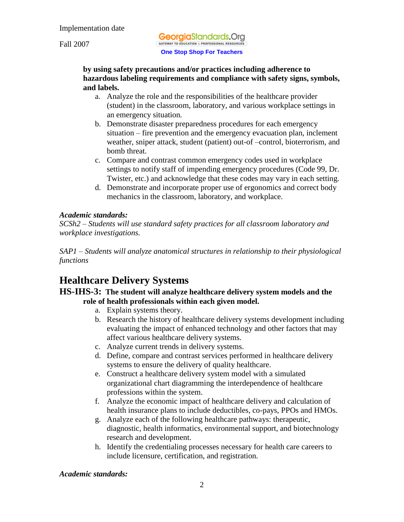Fall 2007

**Georgia**Standards.Org GATEWAY TO EDUCATION & PROFESSIONAL RESOURCES **One Stop Shop For Teachers**

#### **by using safety precautions and/or practices including adherence to hazardous labeling requirements and compliance with safety signs, symbols, and labels.**

- a. Analyze the role and the responsibilities of the healthcare provider (student) in the classroom, laboratory, and various workplace settings in an emergency situation*.*
- b. Demonstrate disaster preparedness procedures for each emergency situation – fire prevention and the emergency evacuation plan, inclement weather, sniper attack, student (patient) out-of –control, bioterrorism, and bomb threat*.*
- c. Compare and contrast common emergency codes used in workplace settings to notify staff of impending emergency procedures (Code 99, Dr. Twister, etc.) and acknowledge that these codes may vary in each setting.
- d. Demonstrate and incorporate proper use of ergonomics and correct body mechanics in the classroom, laboratory, and workplace.

#### *Academic standards:*

*SCSh2 – Students will use standard safety practices for all classroom laboratory and workplace investigations.*

*SAP1 – Students will analyze anatomical structures in relationship to their physiological functions*

# **Healthcare Delivery Systems**

#### **HS-IHS-3: The student will analyze healthcare delivery system models and the role of health professionals within each given model.**

- a. Explain systems theory.
- b. Research the history of healthcare delivery systems development including evaluating the impact of enhanced technology and other factors that may affect various healthcare delivery systems.
- c. Analyze current trends in delivery systems.
- d. Define, compare and contrast services performed in healthcare delivery systems to ensure the delivery of quality healthcare.
- e. Construct a healthcare delivery system model with a simulated organizational chart diagramming the interdependence of healthcare professions within the system.
- f. Analyze the economic impact of healthcare delivery and calculation of health insurance plans to include deductibles, co-pays, PPOs and HMOs.
- g. Analyze each of the following healthcare pathways: therapeutic, diagnostic, health informatics, environmental support, and biotechnology research and development.
- h. Identify the credentialing processes necessary for health care careers to include licensure, certification, and registration*.*

*Academic standards:*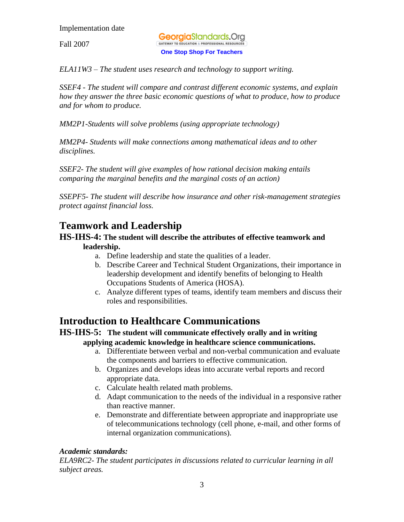Fall 2007

**Georgia**Standards.Ora GATEWAY TO EDUCATION & PROFESSIONAL RESOURCES **One Stop Shop For Teachers**

*ELA11W3 – The student uses research and technology to support writing.* 

*SSEF4 - The student will compare and contrast different economic systems, and explain how they answer the three basic economic questions of what to produce, how to produce and for whom to produce.*

*MM2P1-Students will solve problems (using appropriate technology)*

*MM2P4- Students will make connections among mathematical ideas and to other disciplines.* 

*SSEF2- The student will give examples of how rational decision making entails comparing the marginal benefits and the marginal costs of an action)*

*SSEPF5- The student will describe how insurance and other risk-management strategies protect against financial loss.*

# **Teamwork and Leadership**

#### **HS-IHS-4: The student will describe the attributes of effective teamwork and leadership.**

- a. Define leadership and state the qualities of a leader.
- b. Describe Career and Technical Student Organizations, their importance in leadership development and identify benefits of belonging to Health Occupations Students of America (HOSA).
- c. Analyze different types of teams, identify team members and discuss their roles and responsibilities.

## **Introduction to Healthcare Communications**

#### **HS-IHS-5: The student will communicate effectively orally and in writing applying academic knowledge in healthcare science communications.**

- a. Differentiate between verbal and non-verbal communication and evaluate the components and barriers to effective communication.
- b. Organizes and develops ideas into accurate verbal reports and record appropriate data.
- c. Calculate health related math problems.
- d. Adapt communication to the needs of the individual in a responsive rather than reactive manner.
- e. Demonstrate and differentiate between appropriate and inappropriate use of telecommunications technology (cell phone, e-mail, and other forms of internal organization communications).

### *Academic standards:*

*ELA9RC2- The student participates in discussions related to curricular learning in all subject areas.*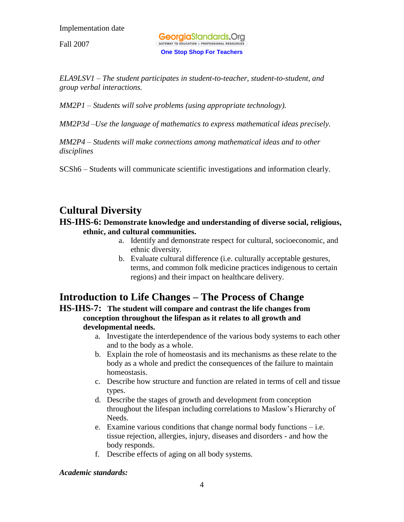Fall 2007

**Georgia**Standards.Ora GATEWAY TO EDUCATION & PROFESSIONAL RESOURCE **One Stop Shop For Teachers**

*ELA9LSV1 – The student participates in student-to-teacher, student-to-student, and group verbal interactions.*

*MM2P1 – Students will solve problems (using appropriate technology).* 

*MM2P3d –Use the language of mathematics to express mathematical ideas precisely.* 

*MM2P4 – Students will make connections among mathematical ideas and to other disciplines*

SCSh6 – Students will communicate scientific investigations and information clearly.

### **Cultural Diversity**

#### **HS-IHS-6: Demonstrate knowledge and understanding of diverse social, religious, ethnic, and cultural communities.**

- a. Identify and demonstrate respect for cultural, socioeconomic, and ethnic diversity.
- b. Evaluate cultural difference (i.e. culturally acceptable gestures, terms, and common folk medicine practices indigenous to certain regions) and their impact on healthcare delivery.

## **Introduction to Life Changes – The Process of Change**

**HS-IHS-7: The student will compare and contrast the life changes from conception throughout the lifespan as it relates to all growth and developmental needs.** 

- a. Investigate the interdependence of the various body systems to each other and to the body as a whole.
- b. Explain the role of homeostasis and its mechanisms as these relate to the body as a whole and predict the consequences of the failure to maintain homeostasis.
- c. Describe how structure and function are related in terms of cell and tissue types.
- d. Describe the stages of growth and development from conception throughout the lifespan including correlations to Maslow's Hierarchy of Needs.
- e. Examine various conditions that change normal body functions i.e. tissue rejection, allergies, injury, diseases and disorders - and how the body responds.
- f. Describe effects of aging on all body systems*.*

#### *Academic standards:*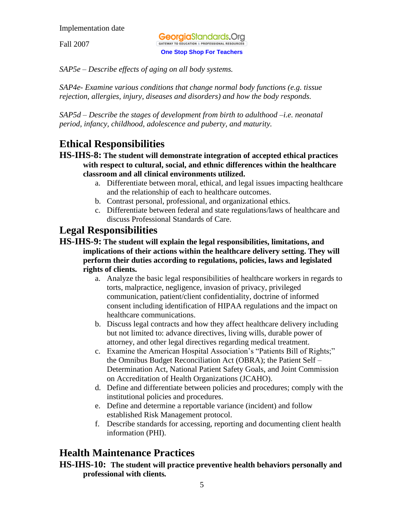Fall 2007

**Georgia**Standards.Ora GATEWAY TO EDUCATION & PROFESSIONAL RESOURCE **One Stop Shop For Teachers**

*SAP5e – Describe effects of aging on all body systems.*

*SAP4e- Examine various conditions that change normal body functions (e.g. tissue rejection, allergies, injury, diseases and disorders) and how the body responds.* 

*SAP5d – Describe the stages of development from birth to adulthood –i.e. neonatal period, infancy, childhood, adolescence and puberty, and maturity.*

## **Ethical Responsibilities**

#### **HS-IHS-8: The student will demonstrate integration of accepted ethical practices with respect to cultural, social, and ethnic differences within the healthcare classroom and all clinical environments utilized.**

- a. Differentiate between moral, ethical, and legal issues impacting healthcare and the relationship of each to healthcare outcomes.
- b. Contrast personal, professional, and organizational ethics.
- c. Differentiate between federal and state regulations/laws of healthcare and discuss Professional Standards of Care.

### **Legal Responsibilities**

- **HS-IHS-9: The student will explain the legal responsibilities, limitations, and implications of their actions within the healthcare delivery setting. They will perform their duties according to regulations, policies, laws and legislated rights of clients.**
	- a. Analyze the basic legal responsibilities of healthcare workers in regards to torts, malpractice, negligence, invasion of privacy, privileged communication, patient/client confidentiality, doctrine of informed consent including identification of HIPAA regulations and the impact on healthcare communications.
	- b. Discuss legal contracts and how they affect healthcare delivery including but not limited to: advance directives, living wills, durable power of attorney, and other legal directives regarding medical treatment.
	- c. Examine the American Hospital Association's "Patients Bill of Rights;" the Omnibus Budget Reconciliation Act (OBRA); the Patient Self – Determination Act, National Patient Safety Goals, and Joint Commission on Accreditation of Health Organizations (JCAHO).
	- d. Define and differentiate between policies and procedures; comply with the institutional policies and procedures.
	- e. Define and determine a reportable variance (incident) and follow established Risk Management protocol.
	- f. Describe standards for accessing, reporting and documenting client health information (PHI).

### **Health Maintenance Practices**

#### **HS-IHS-10: The student will practice preventive health behaviors personally and professional with clients***.*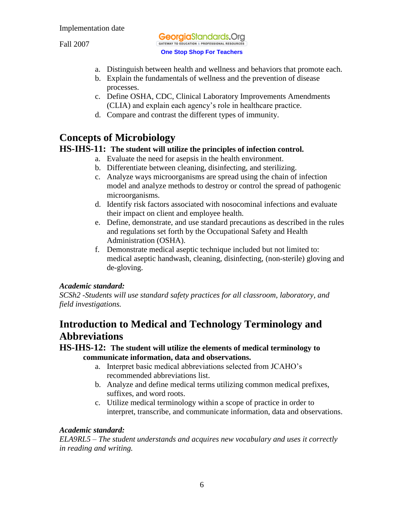Fall 2007

**Georgia**Standards.Org GATEWAY TO EDUCATION & PROFESSIONAL RESOURCES **One Stop Shop For Teachers**

- a. Distinguish between health and wellness and behaviors that promote each.
- b. Explain the fundamentals of wellness and the prevention of disease processes.
- c. Define OSHA, CDC, Clinical Laboratory Improvements Amendments (CLIA) and explain each agency's role in healthcare practice.
- d. Compare and contrast the different types of immunity.

## **Concepts of Microbiology**

### **HS-IHS-11: The student will utilize the principles of infection control.**

- a. Evaluate the need for asepsis in the health environment.
- b. Differentiate between cleaning, disinfecting, and sterilizing.
- c. Analyze ways microorganisms are spread using the chain of infection model and analyze methods to destroy or control the spread of pathogenic microorganisms.
- d. Identify risk factors associated with nosocominal infections and evaluate their impact on client and employee health.
- e. Define, demonstrate, and use standard precautions as described in the rules and regulations set forth by the Occupational Safety and Health Administration (OSHA).
- f. Demonstrate medical aseptic technique included but not limited to: medical aseptic handwash, cleaning, disinfecting, (non-sterile) gloving and de-gloving.

### *Academic standard:*

*SCSh2 -Students will use standard safety practices for all classroom, laboratory, and field investigations.*

### **Introduction to Medical and Technology Terminology and Abbreviations**

### **HS-IHS-12: The student will utilize the elements of medical terminology to communicate information, data and observations.**

- a. Interpret basic medical abbreviations selected from JCAHO's recommended abbreviations list.
- b. Analyze and define medical terms utilizing common medical prefixes, suffixes, and word roots.
- c. Utilize medical terminology within a scope of practice in order to interpret, transcribe, and communicate information, data and observations.

### *Academic standard:*

*ELA9RL5 – The student understands and acquires new vocabulary and uses it correctly in reading and writing.*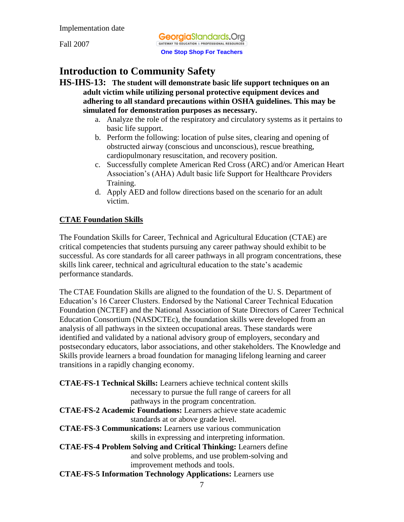Fall 2007

**Georgia**Standards.Ora GATEWAY TO EDUCATION & PROFESSIONAL RESOURCES **One Stop Shop For Teachers**

# **Introduction to Community Safety**

**HS-IHS-13: The student will demonstrate basic life support techniques on an adult victim while utilizing personal protective equipment devices and adhering to all standard precautions within OSHA guidelines. This may be simulated for demonstration purposes as necessary.**

- a. Analyze the role of the respiratory and circulatory systems as it pertains to basic life support.
- b. Perform the following: location of pulse sites, clearing and opening of obstructed airway (conscious and unconscious), rescue breathing, cardiopulmonary resuscitation, and recovery position.
- c. Successfully complete American Red Cross (ARC) and/or American Heart Association's (AHA) Adult basic life Support for Healthcare Providers Training.
- d. Apply AED and follow directions based on the scenario for an adult victim.

### **CTAE Foundation Skills**

The Foundation Skills for Career, Technical and Agricultural Education (CTAE) are critical competencies that students pursuing any career pathway should exhibit to be successful. As core standards for all career pathways in all program concentrations, these skills link career, technical and agricultural education to the state's academic performance standards.

The CTAE Foundation Skills are aligned to the foundation of the U. S. Department of Education's 16 Career Clusters. Endorsed by the National Career Technical Education Foundation (NCTEF) and the National Association of State Directors of Career Technical Education Consortium (NASDCTEc), the foundation skills were developed from an analysis of all pathways in the sixteen occupational areas. These standards were identified and validated by a national advisory group of employers, secondary and postsecondary educators, labor associations, and other stakeholders. The Knowledge and Skills provide learners a broad foundation for managing lifelong learning and career transitions in a rapidly changing economy.

**CTAE-FS-1 Technical Skills:** Learners achieve technical content skills necessary to pursue the full range of careers for all pathways in the program concentration. **CTAE-FS-2 Academic Foundations:** Learners achieve state academic standards at or above grade level. **CTAE-FS-3 Communications:** Learners use various communication skills in expressing and interpreting information. **CTAE-FS-4 Problem Solving and Critical Thinking:** Learners define and solve problems, and use problem-solving and improvement methods and tools. **CTAE-FS-5 Information Technology Applications:** Learners use